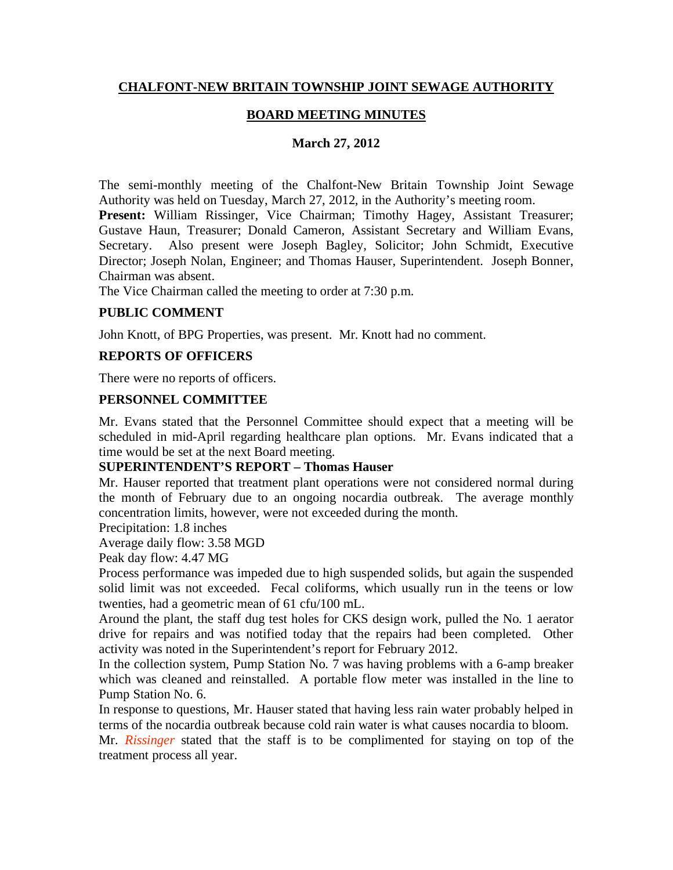## **CHALFONT-NEW BRITAIN TOWNSHIP JOINT SEWAGE AUTHORITY**

## **BOARD MEETING MINUTES**

### **March 27, 2012**

The semi-monthly meeting of the Chalfont-New Britain Township Joint Sewage Authority was held on Tuesday, March 27, 2012, in the Authority's meeting room.

Present: William Rissinger, Vice Chairman; Timothy Hagey, Assistant Treasurer; Gustave Haun, Treasurer; Donald Cameron, Assistant Secretary and William Evans, Secretary. Also present were Joseph Bagley, Solicitor; John Schmidt, Executive Director; Joseph Nolan, Engineer; and Thomas Hauser, Superintendent. Joseph Bonner, Chairman was absent.

The Vice Chairman called the meeting to order at 7:30 p.m.

### **PUBLIC COMMENT**

John Knott, of BPG Properties, was present. Mr. Knott had no comment.

### **REPORTS OF OFFICERS**

There were no reports of officers.

#### **PERSONNEL COMMITTEE**

Mr. Evans stated that the Personnel Committee should expect that a meeting will be scheduled in mid-April regarding healthcare plan options. Mr. Evans indicated that a time would be set at the next Board meeting.

#### **SUPERINTENDENT'S REPORT – Thomas Hauser**

Mr. Hauser reported that treatment plant operations were not considered normal during the month of February due to an ongoing nocardia outbreak. The average monthly concentration limits, however, were not exceeded during the month.

Precipitation: 1.8 inches

Average daily flow: 3.58 MGD

Peak day flow: 4.47 MG

Process performance was impeded due to high suspended solids, but again the suspended solid limit was not exceeded. Fecal coliforms, which usually run in the teens or low twenties, had a geometric mean of 61 cfu/100 mL.

Around the plant, the staff dug test holes for CKS design work, pulled the No. 1 aerator drive for repairs and was notified today that the repairs had been completed. Other activity was noted in the Superintendent's report for February 2012.

In the collection system, Pump Station No. 7 was having problems with a 6-amp breaker which was cleaned and reinstalled. A portable flow meter was installed in the line to Pump Station No. 6.

In response to questions, Mr. Hauser stated that having less rain water probably helped in terms of the nocardia outbreak because cold rain water is what causes nocardia to bloom.

Mr. *Rissinger* stated that the staff is to be complimented for staying on top of the treatment process all year.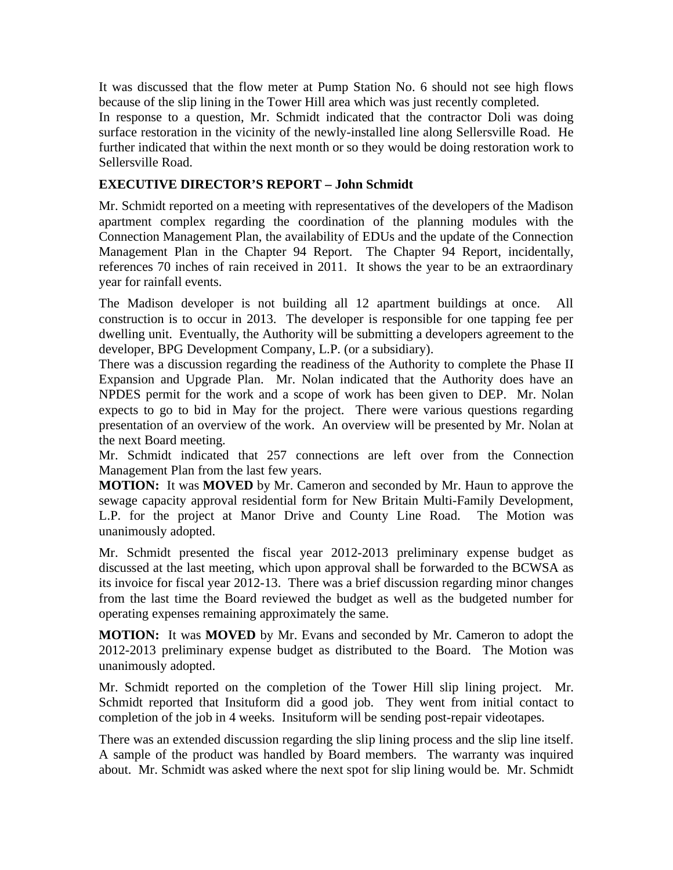It was discussed that the flow meter at Pump Station No. 6 should not see high flows because of the slip lining in the Tower Hill area which was just recently completed.

In response to a question, Mr. Schmidt indicated that the contractor Doli was doing surface restoration in the vicinity of the newly-installed line along Sellersville Road. He further indicated that within the next month or so they would be doing restoration work to Sellersville Road.

## **EXECUTIVE DIRECTOR'S REPORT – John Schmidt**

Mr. Schmidt reported on a meeting with representatives of the developers of the Madison apartment complex regarding the coordination of the planning modules with the Connection Management Plan, the availability of EDUs and the update of the Connection Management Plan in the Chapter 94 Report. The Chapter 94 Report, incidentally, references 70 inches of rain received in 2011. It shows the year to be an extraordinary year for rainfall events.

The Madison developer is not building all 12 apartment buildings at once. All construction is to occur in 2013. The developer is responsible for one tapping fee per dwelling unit. Eventually, the Authority will be submitting a developers agreement to the developer, BPG Development Company, L.P. (or a subsidiary).

There was a discussion regarding the readiness of the Authority to complete the Phase II Expansion and Upgrade Plan. Mr. Nolan indicated that the Authority does have an NPDES permit for the work and a scope of work has been given to DEP. Mr. Nolan expects to go to bid in May for the project. There were various questions regarding presentation of an overview of the work. An overview will be presented by Mr. Nolan at the next Board meeting.

Mr. Schmidt indicated that 257 connections are left over from the Connection Management Plan from the last few years.

**MOTION:** It was **MOVED** by Mr. Cameron and seconded by Mr. Haun to approve the sewage capacity approval residential form for New Britain Multi-Family Development, L.P. for the project at Manor Drive and County Line Road. The Motion was unanimously adopted.

Mr. Schmidt presented the fiscal year 2012-2013 preliminary expense budget as discussed at the last meeting, which upon approval shall be forwarded to the BCWSA as its invoice for fiscal year 2012-13. There was a brief discussion regarding minor changes from the last time the Board reviewed the budget as well as the budgeted number for operating expenses remaining approximately the same.

**MOTION:** It was **MOVED** by Mr. Evans and seconded by Mr. Cameron to adopt the 2012-2013 preliminary expense budget as distributed to the Board. The Motion was unanimously adopted.

Mr. Schmidt reported on the completion of the Tower Hill slip lining project. Mr. Schmidt reported that Insituform did a good job. They went from initial contact to completion of the job in 4 weeks. Insituform will be sending post-repair videotapes.

There was an extended discussion regarding the slip lining process and the slip line itself. A sample of the product was handled by Board members. The warranty was inquired about. Mr. Schmidt was asked where the next spot for slip lining would be. Mr. Schmidt